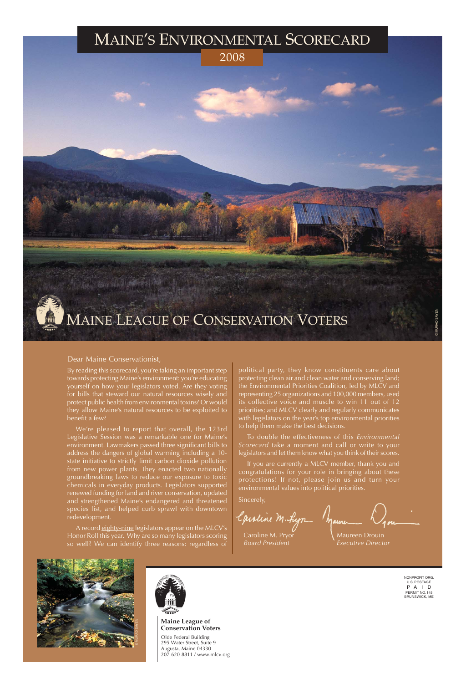Caroline M. Pryor  $\mathcal{N}$  Maureen Drouin

NONPROFIT ORG. U.S. POSTAGE P A I D PERMIT NO. 145 BRUNSWICK, ME

Olde Federal Building 295 Water Street, Suite 9 Augusta, Maine 04330 207-620-8811 / www.mlcv.org

**Maine League of Conservation Voters**

#### Dear Maine Conservationist,

By reading this scorecard, you're taking an important step towards protecting Maine's environment: you're educating yourself on how your legislators voted. Are they voting for bills that steward our natural resources wisely and protect public health from environmental toxins? Or would they allow Maine's natural resources to be exploited to benefit a few?

A record eighty-nine legislators appear on the MLCV's Honor Roll this year. Why are so many legislators scoring so well? We can identify three reasons: regardless of

We're pleased to report that overall, the 123rd Legislative Session was a remarkable one for Maine's environment. Lawmakers passed three significant bills to address the dangers of global warming including a 10 state initiative to strictly limit carbon dioxide pollution from new power plants. They enacted two nationally groundbreaking laws to reduce our exposure to toxic chemicals in everyday products. Legislators supported renewed funding for land and river conservation, updated and strengthened Maine's endangered and threatened species list, and helped curb sprawl with downtown redevelopment.



political party, they know constituents care about protecting clean air and clean water and conserving land; the Environmental Priorities Coalition, led by MLCV and representing 25 organizations and 100,000 members, used its collective voice and muscle to win 11 out of 12 priorities; and MLCV clearly and regularly communicates with legislators on the year's top environmental priorities to help them make the best decisions.

To double the effectiveness of this *Environmental Scorecard* take a moment and call or write to your legislators and let them know what you think of their scores.

If you are currently a MLCV member, thank you and congratulations for your role in bringing about these protections! If not, please join us and turn your environmental values into political priorities.

Sincerely,

Aline M. Ly **Alire** 

*Board President Executive Director*



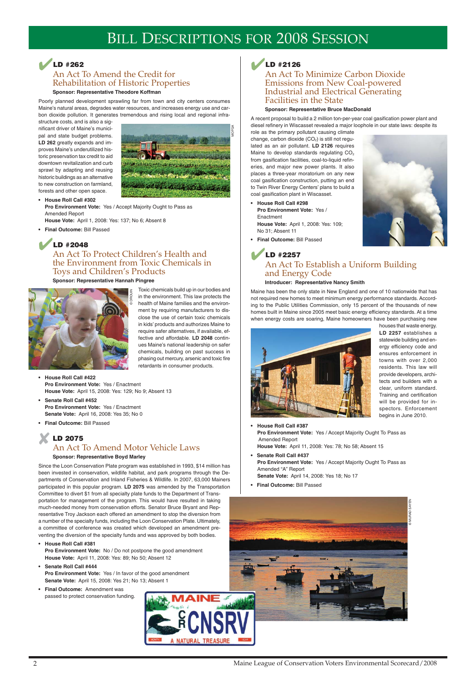### ✔**LD #262**

### An Act To Amend the Credit for Rehabilitation of Historic Properties

**Sponsor: Representative Theodore Koffman**

Poorly planned development sprawling far from town and city centers consumes Maine's natural areas, degrades water resources, and increases energy use and carbon dioxide pollution. It generates tremendous and rising local and regional infra-

structure costs, and is also a significant driver of Maine's municipal and state budget problems. **LD 262** greatly expands and improves Maine's underutilized historic preservation tax credit to aid downtown revitalization and curb sprawl by adapting and reusing historic buildings as an alternative to new construction on farmland, forests and other open space.

**• House Roll Call #302 Pro Environment Vote:** Yes / Accept Majority Ought to Pass as Amended Report

**House Vote:** April 1, 2008: Yes: 137; No 6; Absent 8

**• Final Outcome:** Bill Passed

### ✔**LD #2048**

### An Act To Protect Children's Health and the Environment from Toxic Chemicals in Toys and Children's Products

#### **Sponsor: Representative Hannah Pingree**

Toxic chemicals build up in our bodies and in the environment. This law protects the health of Maine families and the environment by requiring manufacturers to disclose the use of certain toxic chemicals in kids' products and authorizes Maine to require safer alternatives, if available, effective and affordable. **LD 2048** continues Maine's national leadership on safer chemicals, building on past success in phasing out mercury, arsenic and toxic fire retardants in consumer products.

**• House Roll Call #422 Pro Environment Vote:** Yes / Enactment **House Vote:** April 15, 2008: Yes: 129; No 9; Absent 13

- **Senate Roll Call #452 Pro Environment Vote:** Yes / Enactment **Senate Vote:** April 16, 2008: Yes 35; No 0
- **Final Outcome:** Bill Passed

### ✘**LD 2075** An Act To Amend Motor Vehicle Laws **Sponsor: Representative Boyd Marley**

Since the Loon Conservation Plate program was established in 1993, \$14 million has been invested in conservation, wildlife habitat, and park programs through the Departments of Conservation and Inland Fisheries & Wildlife. In 2007, 63,000 Mainers participated in this popular program. **LD 2075** was amended by the Transportation Committee to divert \$1 from all specialty plate funds to the Department of Transportation for management of the program. This would have resulted in taking much-needed money from conservation efforts. Senator Bruce Bryant and Representative Troy Jackson each offered an amendment to stop the diversion from

a number of the specialty funds, including the Loon Conservation Plate. Ultimately, a committee of conference was created which developed an amendment preventing the diversion of the specialty funds and was approved by both bodies.

#### **• House Roll Call #381**

**Pro Environment Vote:** No / Do not postpone the good amendment **House Vote:** April 11, 2008: Yes: 89; No 50; Absent 12

#### **• Senate Roll Call #444**

**Pro Environment Vote:** Yes / In favor of the good amendment **Senate Vote:** April 15, 2008: Yes 21; No 13; Absent 1

**• Final Outcome:** Amendment was passed to protect conservation funding.





### An Act To Minimize Carbon Dioxide Emissions from New Coal-powered Industrial and Electrical Generating Facilities in the State

#### **Sponsor: Representative Bruce MacDonald**

A recent proposal to build a 2 million ton-per-year coal gasification power plant and diesel refinery in Wiscasset revealed a major loophole in our state laws: despite its

role as the primary pollutant causing climate change, carbon dioxide  $(CO<sub>2</sub>)$  is still not regulated as an air pollutant. **LD 2126** requires Maine to develop standards regulating  $CO<sub>2</sub>$ from gasification facilities, coal-to-liquid refineries, and major new power plants. It also places a three-year moratorium on any new coal gasification construction, putting an end to Twin River Energy Centers' plans to build a coal gasification plant in Wiscasset.

**• House Roll Call #298 Pro Environment Vote:** Yes / **Enactment House Vote:** April 1, 2008: Yes: 109; No 31; Absent 11



**• Final Outcome:** Bill Passed

### ✔**LD #2257** An Act To Establish a Uniform Building and Energy Code

#### **Introducer: Representative Nancy Smith**

Maine has been the only state in New England and one of 10 nationwide that has not required new homes to meet minimum energy performance standards. According to the Public Utilities Commission, only 15 percent of the thousands of new homes built in Maine since 2005 meet basic energy efficiency standards. At a time when energy costs are soaring, Maine homeowners have been purchasing new



houses that waste energy. **LD 2257** establishes a statewide building and energy efficiency code and ensures enforcement in towns with over 2,000 residents. This law will provide developers, architects and builders with a clear, uniform standard. Training and certification will be provided for inspectors. Enforcement begins in June 2010.

**• House Roll Call #387**

**Pro Environment Vote:** Yes / Accept Majority Ought To Pass as Amended Report

**House Vote:** April 11, 2008: Yes: 78; No 58; Absent 15

**• Senate Roll Call #437 Pro Environment Vote:** Yes / Accept Majority Ought To Pass as Amended "A" Report

**Senate Vote:** April 14, 2008: Yes 18; No 17

**• Final Outcome:** Bill Passed



2







## BILL DESCRIPTIONS FOR 2008 SESSION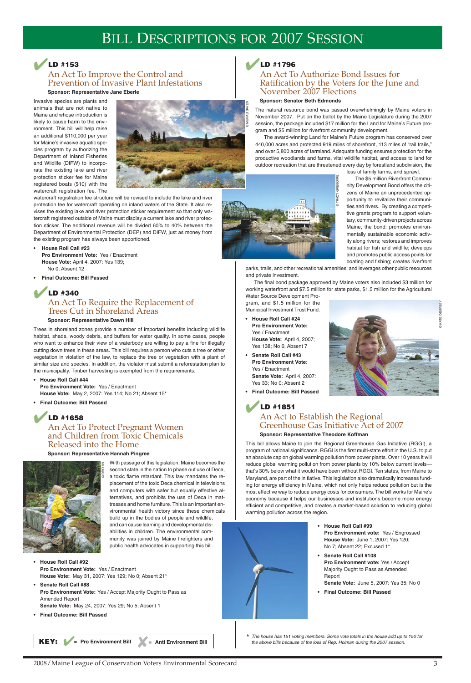## ✔**LD #153**

### An Act To Improve the Control and Prevention of Invasive Plant Infestations **Sponsor: Representative Jane Eberle**

Invasive species are plants and animals that are not native to Maine and whose introduction is likely to cause harm to the environment. This bill will help raise an additional \$110,000 per year for Maine's invasive aquatic species program by authorizing the Department of Inland Fisheries and Wildlife (DIFW) to incorporate the existing lake and river protection sticker fee for Maine registered boats (\$10) with the watercraft registration fee. The



watercraft registration fee structure will be revised to include the lake and river protection fee for watercraft operating on inland waters of the State. It also revises the existing lake and river protection sticker requirement so that only watercraft registered outside of Maine must display a current lake and river protection sticker. The additional revenue will be divided 60% to 40% between the Department of Environmental Protection (DEP) and DIFW, just as money from the existing program has always been apportioned.

- **House Roll Call #23 Pro Environment Vote:** Yes / Enactment **House Vote:** April 4, 2007: Yes 139; No 0; Absent 12
- **Final Outcome: Bill Passed**

### ✔**LD #340** An Act To Require the Replacement of Trees Cut in Shoreland Areas

#### **Sponsor: Representative Dawn Hill**

Trees in shoreland zones provide a number of important benefits including wildlife habitat, shade, woody debris, and buffers for water quality. In some cases, people who want to enhance their view of a waterbody are willing to pay a fine for illegally cutting down trees in these areas. This bill requires a person who cuts a tree or other vegetation in violation of the law, to replace the tree or vegetation with a plant of similar size and species. In addition, the violator must submit a reforestation plan to the municipality. Timber harvesting is exempted from the requirements.

**• House Roll Call #44 Pro Environment Vote:** Yes / Enactment **House Vote:** May 2, 2007: Yes 114; No 21; Absent 15\*

**• Final Outcome: Bill Passed**

### ✔**LD #1658** An Act To Protect Pregnant Women and Children from Toxic Chemicals Released into the Home

#### **Sponsor: Representative Hannah Pingree**

With passage of this legislation, Maine becomes the second state in the nation to phase out use of Deca, a toxic flame retardant. This law mandates the replacement of the toxic Deca chemical in televisions and computers with safer but equally effective alternatives, and prohibits the use of Deca in mattresses and home furniture. This is an important environmental health victory since these chemicals build up in the bodies of people and wildlife, and can cause learning and developmental disabilities in children. The environmental community was joined by Maine firefighters and public health advocates in supporting this bill.

This bill allows Maine to join the Regional Greenhouse Gas Initiative (RGGI), a program of national significance. RGGI is the first multi-state effort in the U.S. to put an absolute cap on global warming pollution from power plants. Over 10 years it will reduce global warming pollution from power plants by 10% below current levels that's 30% below what it would have been without RGGI. Ten states, from Maine to Maryland, are part of the initiative. This legislation also dramatically increases funding for energy efficiency in Maine, which not only helps reduce pollution but is the most effective way to reduce energy costs for consumers. The bill works for Maine's economy because it helps our businesses and institutions become more energy efficient and competitive, and creates a market-based solution to reducing global warming pollution across the region. The Boundary and State of Maria and University of the same and the loss of American properties of the same of the loss of Rep. 2007 session. The properties of the loss of Rep. 2007 session. Communications of the control o

- **House Roll Call #92 Pro Environment Vote:** Yes / Enactment **House Vote:** May 31, 2007: Yes 129; No 0; Absent 21\*
- **Senate Roll Call #88**

**Pro Environment Vote:** Yes / Accept Majority Ought to Pass as Amended Report

**Senate Vote:** May 24, 2007: Yes 29; No 5; Absent 1

**• Final Outcome: Bill Passed**

### ✔**LD #1796**

### An Act To Authorize Bond Issues for Ratification by the Voters for the June and November 2007 Elections

#### **Sponsor: Senator Beth Edmonds**

The natural resource bond was passed overwhelmingly by Maine voters in November 2007. Put on the ballot by the Maine Legislature during the 2007 session, the package included \$17 million for the Land for Maine's Future program and \$5 million for riverfront community development.

The award-winning Land for Maine's Future program has conserved over 440,000 acres and protected 919 miles of shorefront, 113 miles of "rail trails," and over 5,800 acres of farmland. Adequate funding ensures protection for the productive woodlands and farms, vital wildlife habitat, and access to land for outdoor recreation that are threatened every day by forestland subdivision, the



loss of family farms, and sprawl.

The \$5 million Riverfront Community Development Bond offers the citizens of Maine an unprecedented opportunity to revitalize their communities and rivers. By creating a competitive grants program to support voluntary, community-driven projects across Maine, the bond: promotes environmentally sustainable economic activity along rivers; restores and improves habitat for fish and wildlife; develops and promotes public access points for boating and fishing; creates riverfront

parks, trails, and other recreational amenities; and leverages other public resources and private investment.

The final bond package approved by Maine voters also included \$3 million for working waterfront and \$7.5 million for state parks, \$1.5 million for the Agricultural Water Source Development Pro-

gram, and \$1.5 million for the Municipal Investment Trust Fund.

- **House Roll Call #24 Pro Environment Vote:** Yes / Enactment **House Vote:** April 4, 2007; Yes 138; No 6; Absent 7
- **Senate Roll Call #43 Pro Environment Vote:** Yes / Enactment **Senate Vote:** April 4, 2007: Yes 33; No 0; Absent 2



### ✔**LD #1851** An Act to Establish the Regional Greenhouse Gas Initiative Act of 2007 **Sponsor: Representative Theodore Koffman**

\* The house has 151 voting members. Some vote totals in the house add up to 150 for





© KATE DEMPSEY

© MURAD SAYEN

- 
- **House Roll Call #99 Pro Environment vote:** Yes / Engrossed **House Vote:** June 1, 2007: Yes 120; No 7; Absent 22; Excused 1\*
- **Senate Roll Call #108 Pro Environment vote:** Yes / Accept Majority Ought to Pass as Amended Report

**Senate Vote:** June 5, 2007: Yes 35; No 0

**• Final Outcome: Bill Passed**

## BILL DESCRIPTIONS FOR 2007 SESSION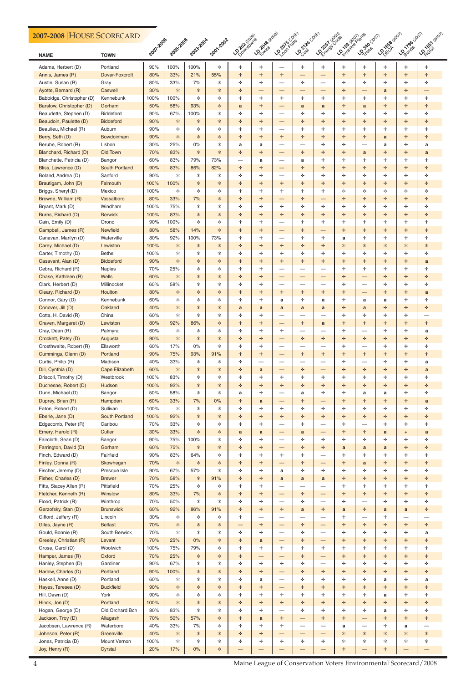| 2007-2008 HOUSE SCORECARD                        |                               |             |             |             |             |                    |                               |                                   |                                  |                                |                 |                                  |                |                          |                                  |
|--------------------------------------------------|-------------------------------|-------------|-------------|-------------|-------------|--------------------|-------------------------------|-----------------------------------|----------------------------------|--------------------------------|-----------------|----------------------------------|----------------|--------------------------|----------------------------------|
| <b>NAME</b>                                      | <b>TOWN</b>                   | 2007.2008   | 2005-2006   | 2003-2004   | 2001-2002   | <b>LOOMING WAS</b> | <b>LO 2016</b> 6-2019         | <b>LONDROUGE</b>                  | <b>LOCATAB</b> (2008)            | LONDON Coose                   | <b>Donatage</b> | <b>LO<sub>340 (2011)</sub></b>   | <b>LONGAGE</b> |                          | Louise Louisingship              |
| Adams, Herbert (D)                               | Portland                      | 90%         | 100%        | 100%        | ∗           | ÷                  | ÷.                            | —                                 | ÷.                               | ÷                              | ÷.              | ÷.                               | ÷.             | ÷                        | ÷                                |
| Annis, James (R)                                 | Dover-Foxcroft                | 80%         | 33%         | 21%         | 55%         | ÷                  | ÷.                            | ÷                                 | $\qquad \qquad -$                | $\qquad \qquad -$              | ÷.              | ÷                                | ÷.             | ÷.                       | ÷                                |
| Austin, Susan (R)                                | Gray                          | 80%         | 33%         | 7%          | ∗           | ÷                  | ÷                             | —                                 | ÷.                               |                                | ÷.              | ÷                                | ÷              | ÷                        | ÷                                |
| Ayotte, Bernard (R)<br>Babbidge, Christopher (D) | Caswell<br>Kennebunk          | 30%<br>100% | $*$<br>100% | ∗<br>$\ast$ | $\ast$<br>* | ÷<br>÷             | $\overline{\phantom{0}}$<br>÷ | ÷                                 | —<br>÷.                          | $\overline{\phantom{0}}$<br>÷. | ÷<br>÷.         | —<br>÷.                          | a<br>÷.        | ÷<br>÷.                  | ÷                                |
| Barstow, Christopher (D)                         | Gorham                        | 50%         | 58%         | 93%         | ∗           | a                  | ÷.                            | $\qquad \qquad -$                 | a                                | a                              | ÷.              | a                                | ÷.             | ÷.                       | ÷                                |
| Beaudette, Stephen (D)                           | <b>Biddeford</b>              | 90%         | 67%         | 100%        | ∗           | ÷                  | ÷.                            | $\overbrace{\phantom{123221111}}$ | ÷.                               | ÷.                             | ÷.              | ÷                                | ÷              | ÷.                       | ÷                                |
| Beaudoin, Paulette (D)                           | <b>Biddeford</b>              | 90%         | $\ast$      | ∗           | ∗           | ÷                  | ÷                             | —                                 | ÷.                               | ÷.                             | ÷.              | ÷                                | ÷.             | ÷                        | ÷                                |
| Beaulieu, Michael (R)                            | Auburn                        | 90%         | ∗           | ∗           | ∗           | ÷                  | ÷                             | $\hspace{0.05cm}$                 | ÷.                               | ÷.                             | ÷.              | ÷                                | ÷.             | ÷.                       | ÷                                |
| Berry, Seth (D)                                  | Bowdoinham                    | 90%         | $*$         | ∗           | ∗           | ÷                  | ÷.                            | ÷                                 | ÷.                               | ÷.                             | ÷.              | ÷                                | a              | ÷                        | ÷                                |
| Berube, Robert (R)                               | Lisbon                        | 30%         | 25%         | $0\%$       | ∗           | a                  | a                             | $\overbrace{\phantom{123221111}}$ | $\hspace{0.05cm}$                | ÷.                             | ÷.              | $\overline{\phantom{0}}$         | a              | ÷.                       | a                                |
| Blanchard, Richard (D)                           | Old Town                      | 70%         | 83%         | ∗           | $\ast$      | ÷                  | ÷                             | —                                 | ÷.                               | ÷.                             | ÷.              | a                                | ÷              | ÷                        | a                                |
| Blanchette, Patricia (D)                         | Bangor                        | 60%         | 83%         | 79%         | 73%         | —                  | a                             | $\hspace{0.05cm}$                 | a                                | ÷.                             | ÷.              | ÷.                               | ÷.             | ÷                        | ÷                                |
| Bliss, Lawrence (D)                              | <b>South Portland</b>         | 90%         | 83%         | 86%         | 82%         | ÷                  | ÷.                            | $\qquad \qquad -$                 | ÷.                               | ÷.                             | ÷.              | ÷.                               | ÷.             | ÷.                       | ÷                                |
| Boland, Andrea (D)                               | Sanford                       | 90%         | ∗           | ∗           | ∗           | ÷                  | ÷.                            | $\hspace{0.05cm}$                 | ÷.                               | ÷.                             | ÷.              | ÷                                | ÷              | ÷                        | ÷                                |
| Brautigam, John (D)                              | Falmouth                      | 100%        | 100%        | ∗           | ∗           | ÷                  | ÷                             | ÷.                                | ÷.                               | ÷.                             | ÷.              | ÷                                | ÷.             | ÷                        | ÷                                |
| Briggs, Sheryl (D)                               | Mexico                        | 100%        | ∗           | ∗           | ∗           | ÷                  | ÷                             | ÷                                 | ÷.                               | ÷.                             | ∗               | ∗                                | ∗              | ∗                        | ∗                                |
| Browne, William (R)                              | Vassalboro                    | 80%         | 33%         | 7%          | ∗           | ÷                  | ÷.                            | $\qquad \qquad -$                 | ÷.                               |                                | ÷.              | ÷                                | ÷.             | ÷.                       | ÷                                |
| Bryant, Mark (D)                                 | Windham                       | 100%        | 75%         | ∗           | ∗           | ÷                  | ÷                             | ÷                                 | ÷.                               | ÷.                             | ÷.              | ÷                                | ÷              | ÷.                       | ÷                                |
| Burns, Richard (D)                               | <b>Berwick</b>                | 100%        | 83%         | ∗           | ∗           | ÷                  | ÷                             | ÷                                 | ÷.                               | ÷.                             | ÷.              | ÷                                | ÷              | ÷                        | ÷                                |
| Cain, Emily (D)                                  | Orono                         | 90%<br>80%  | 100%<br>58% | *<br>14%    | ∗<br>$\ast$ | ÷                  | ÷                             | —                                 | ÷.                               | ÷.                             | ÷.              | ÷.<br>÷.                         | ÷.             | ÷.<br>÷.                 | ÷                                |
| Campbell, James (R)<br>Canavan, Marilyn (D)      | <b>Newfield</b><br>Waterville | 80%         | 92%         | 100%        | 73%         | ÷<br>÷             | ÷.<br>÷.                      | $\overbrace{\phantom{123221111}}$ | ÷.<br>÷.                         | ÷.                             | ÷.              | ÷                                | ÷.<br>÷        | ÷.                       | ÷<br>÷                           |
| Carey, Michael (D)                               | Lewiston                      | 100%        | ∗           | ∗           | $\ast$      | ÷                  | ÷                             | ÷                                 | ÷.                               | ÷.                             | a<br>∗          | $\ast$                           | ∗              | ∗                        | ∗                                |
| Carter, Timothy (D)                              | <b>Bethel</b>                 | 100%        | ∗           | ∗           | ∗           | ÷                  | ÷                             | ÷                                 | ÷.                               | ÷.                             | ÷.              | ÷                                | ÷.             | ÷.                       | ÷                                |
| Casavant, Alan (D)                               | <b>Biddeford</b>              | 90%         | $*$         | ∗           | ∗           | ÷                  | ÷.                            | ÷.                                | ÷.                               | ÷.                             | ÷.              | ÷                                | ÷.             | ÷.                       | a                                |
| Cebra, Richard (R)                               | Naples                        | 70%         | 25%         | ∗           | ∗           | ÷                  | ÷                             | $\hspace{0.05cm}$                 | $\hspace{0.05cm}$                |                                | ÷.              | ÷.                               | ÷              | ÷.                       | ÷                                |
| Chase, Kathleen (R)                              | Wells                         | 60%         | $\ast$      | ∗           | ∗           | ÷                  | ÷                             | —                                 |                                  |                                | ÷.              | —                                | ÷              | ÷                        | ÷                                |
| Clark, Herbert (D)                               | Millinocket                   | 60%         | 58%         | *           | *.          | ÷                  | ÷.                            | —                                 | $\overline{\phantom{0}}$         |                                | ÷.              | $\overline{\phantom{0}}$         | ÷.             | ÷                        | ÷                                |
| Cleary, Richard (D)                              | Houlton                       | 80%         | $\ast$      | ∗           | ∗           | ÷                  | ÷                             | ÷                                 | ÷.                               | ÷.                             | ÷.              |                                  | ÷              | ÷                        | a                                |
| Connor, Gary (D)                                 | Kennebunk                     | 60%         | $\ast$      | ∗           | ∗           | ÷                  | ÷                             | a                                 | ÷.                               | a                              | ÷.              | a                                | a              | ÷                        | ÷                                |
| Conover, Jill (D)                                | Oakland                       | 40%         | $\ast$      | ∗           | $\ast$      | a                  | a                             | a                                 | a                                | a                              | ÷.              | a                                | ÷              | ÷                        | ÷                                |
| Cotta, H. David (R)                              | China                         | 60%         | ∗           | *           | *.          | ÷                  | ÷                             | —                                 |                                  |                                | ÷.              | ÷                                | ÷.             | ÷                        | $\overbrace{\phantom{12321111}}$ |
| Craven, Margaret (D)                             | Lewiston                      | 80%         | 92%         | 86%         | ∗           | ÷                  | ÷.                            | $\qquad \qquad -$                 | ÷.                               | $\mathbf{a}$                   | ÷.              | ÷                                | ÷.             | ÷.                       | ÷.                               |
| Cray, Dean (R)                                   | Palmyra                       | 60%         | ∗           | ∗           | ∗           | ÷                  | ÷                             | ÷.                                | $\hspace{0.05cm}$                |                                | ÷.              |                                  | ÷              | ÷                        | a                                |
| Crockett, Patsy (D)                              | Augusta                       | 90%         | $*$         | ∗           | $\ast$      | ÷                  | ÷.                            | $\qquad \qquad -$                 | ÷.                               | ÷.                             | ÷.              | ÷                                | ÷.             | ÷                        | ÷                                |
| Crosthwaite, Robert (R)                          | Ellsworth                     | 60%         | 17%         | $0\%$       | ∗           | ÷                  | ÷.                            |                                   |                                  |                                | ÷.              | $\overline{\phantom{0}}$         | ÷.             | ÷                        | ÷                                |
| Cummings, Glenn (D)                              | Portland                      | 90%         | 75%         | 93%         | 91%         | ÷                  | ÷.                            | $\qquad \qquad -$                 | ÷.                               | ÷.                             | ÷.              | ÷.                               | ÷.             | ÷.                       | ÷.                               |
| Curtis, Philip (R)                               | Madison                       | 40%         | 33%         | ∗           | ∗           | ÷                  | $\overline{\phantom{0}}$      | $\overbrace{\phantom{123221111}}$ | $\overbrace{\phantom{12322111}}$ | $\overline{\phantom{0}}$       | ÷               |                                  | ÷              | ÷                        | a                                |
| Dill, Cynthia (D)                                | <b>Cape Elizabeth</b>         | 60%         | $\ast$      | ∗           | $\ast$      | ÷                  | a                             | —                                 | ÷.                               | $\qquad \qquad -$              | ÷.              | ÷                                | ÷.             | ÷                        | a                                |
| Driscoll, Timothy (D)                            | Westbrook                     | 100%        | 83%<br>92%  | ∗           | ∗<br>∗      | ÷<br>÷             | ÷.<br>÷.                      | ÷<br>÷                            | ÷.<br>÷.                         | ÷.<br>÷.                       | ÷.<br>÷.        | ÷<br>÷                           | ÷.<br>÷.       | ÷<br>÷.                  | ÷<br>÷.                          |
| Duchesne, Robert (D)<br>Dunn, Michael (D)        | Hudson<br>Bangor              | 100%<br>50% | 58%         | ∗<br>∗      | ∗           | a                  | ÷                             | —                                 | a                                | ÷.                             | ÷.              | a                                | a              | ÷                        | ÷                                |
| Duprey, Brian (R)                                | Hampden                       | 60%         | 33%         | 7%          | 0%          | ÷                  | $\mathbf{a}$                  | —                                 | ÷.                               |                                | ÷.              | ÷                                | ÷.             | ÷                        | a                                |
| Eaton, Robert (D)                                | Sullivan                      | 100%        | ∗           | ∗           | ∗           | ÷                  | ÷.                            | ÷                                 | ÷.                               | ÷.                             | ÷.              | ÷                                | ÷.             | ÷                        | ÷                                |
| Eberle, Jane (D)                                 | <b>South Portland</b>         | 100%        | 92%         | ∗           | ∗           | ÷                  | ÷.                            | ÷                                 | ÷.                               | ÷.                             | ÷.              | ÷                                | ÷.             | ÷.                       | ÷.                               |
| Edgecomb, Peter (R)                              | Caribou                       | 70%         | 33%         | ∗           | ∗           | ÷                  | ÷                             | $\overbrace{\phantom{123221111}}$ | ÷.                               |                                | ÷.              | $\overline{\phantom{0}}$         | ÷              | ÷                        | ÷                                |
| Emery, Harold (R)                                | Cutler                        | 30%         | 33%         | ∗           | $\ast$      | a                  | $\mathbf{a}$                  |                                   | a                                | $\qquad \qquad -$              | ÷.              | ÷                                | a              | $+$                      | a                                |
| Faircloth, Sean (D)                              | Bangor                        | 90%         | 75%         | 100%        | *.          | ÷                  | ÷.                            | $\hspace{0.05cm}$                 | ÷.                               | ÷.                             | ÷.              | ÷                                | ÷.             | ÷                        | ÷                                |
| Farrington, David (D)                            | Gorham                        | 60%         | 75%         | ∗           | ∗           | ÷                  | ÷.                            | $\overline{\phantom{m}}$          | ÷.                               | ÷.                             | a               | a                                | a              | ÷.                       | ÷.                               |
| Finch, Edward (D)                                | Fairfield                     | 90%         | 83%         | 64%         | ∗           | ÷                  | ÷                             | ÷                                 | ÷.                               | $\overline{\phantom{0}}$       | ÷.              | ÷                                | ÷              | ÷                        | ÷                                |
| Finley, Donna (R)                                | Skowhegan                     | 70%         | $\ast$      | ∗           | $\ast$      | ÷                  | ÷                             |                                   | ÷.                               |                                | ÷.              | a                                | ÷.             | ÷                        | ÷                                |
| Fischer, Jeremy (D)                              | Presque Isle                  | 90%         | 67%         | 57%         | ∗           | ÷                  | ÷.                            | a                                 | ÷.                               | ÷.                             | ÷.              | ÷                                | ÷.             | ÷                        | ÷                                |
| Fisher, Charles (D)                              | <b>Brewer</b>                 | 70%         | 58%         | ∗           | 91%         | ÷                  | ÷.                            | $\mathbf{a}$                      | $\mathbf{a}$                     | $\mathbf{a}$                   | ÷.              | ÷                                | ÷.             | ÷.                       | ÷.                               |
| Fitts, Stacey Allen (R)                          | Pittsfield                    | 70%         | 25%         | ∗           | ∗           | ÷                  | ÷                             | —                                 | $\hspace{0.05cm}$                | $\overline{\phantom{0}}$       | ÷.              | ÷                                | ÷              | ÷                        | ÷                                |
| Fletcher, Kenneth (R)                            | Winslow                       | 80%         | 33%         | 7%          | $\ast$      | ÷                  | ÷.                            | —                                 | ÷.                               | $\qquad \qquad -$              | ÷.              | ÷                                | ÷.             | ÷                        | ÷                                |
| Flood, Patrick (R)                               | Winthrop                      | 70%         | 50%         | ∗           | ∗           | ÷                  | ÷.                            | $\overbrace{\phantom{123221111}}$ | ÷.                               | $\hspace{0.05cm}$              | ÷.              | $\overbrace{\phantom{12321111}}$ | ÷.             | ÷                        | ÷.                               |
| Gerzofsky, Stan (D)                              | <b>Brunswick</b>              | 60%         | 92%         | 86%         | 91%         | ÷                  | ÷.                            | ÷                                 | $\mathbf{a}$                     | ÷.                             | a               | ÷.                               | a              | $\mathbf{a}$             | ÷                                |
| Gifford, Jeffery (R)                             | Lincoln                       | 30%         | ∗           | ∗           | ∗           | ÷                  | $\overline{\phantom{0}}$      | —                                 |                                  |                                | ÷.              | $\overline{\phantom{0}}$         | ÷              | $\overline{\phantom{a}}$ |                                  |
| Giles, Jayne (R)                                 | <b>Belfast</b>                | 70%         | $\ast$      | ∗           | ∗           |                    | ÷.                            |                                   | ÷.                               | $\qquad \qquad -$              | ÷.              | ÷                                | ÷.             | ÷.                       | ÷.                               |
| Gould, Bonnie (R)                                | South Berwick                 | 70%         | $\ast$      | ∗           | *           | ÷.                 | ÷.                            | $\overbrace{\phantom{123221111}}$ | ÷.                               | $\hspace{0.05cm}$              | ÷.              | ÷                                | ÷.             | ÷.                       | a                                |
| Greeley, Christian (R)                           | Levant                        | 70%         | 25%         | $0\%$       | ∗<br>∗      | ÷<br>لىل           | $\mathbf{a}$<br>÷             | ÷                                 | ÷.<br>ᆠ                          | $\qquad \qquad -$<br>÷         | ÷.<br>ᆚ         | ÷<br>÷                           | ÷<br>ᆚ         | ÷<br>ä,                  | ÷<br>÷                           |
| Grose, Carol (D)<br>Hamper, James (R)            | Woolwich<br>Oxford            | 100%<br>70% | 75%<br>25%  | 79%<br>∗    | ∗           |                    |                               |                                   | ÷.                               |                                | ÷.              | ÷                                | ÷.             | ÷                        | ÷                                |
| Hanley, Stephen (D)                              | Gardiner                      | 90%         | 67%         | ∗           | *           | ÷<br>÷             | —                             |                                   | ÷                                | —                              | ÷.              | ÷                                | ÷              | ÷.                       |                                  |
| Harlow, Charles (D)                              | Portland                      | 90%         | 100%        | ∗           | *.          | ÷                  | ÷.<br>÷.                      | ÷<br>—                            | ÷.                               | $\hspace{0.05cm}$<br>÷.        | ÷.              | ÷                                | ÷.             | ÷.                       | ÷.<br>÷.                         |
| Haskell, Anne (D)                                | Portland                      | 60%         | ∗           | ∗           | ∗           | ÷                  | a                             | $\overline{\phantom{m}}$          | ÷.                               | ÷.                             | ÷.              | ÷.                               | a              | ÷.                       | a                                |
| Hayes, Teresea (D)                               | <b>Buckfield</b>              | 90%         | $\ast$      | ∗           | ∗           | ÷                  | ÷.                            | —                                 | ÷.                               | ÷.                             | ÷.              | ÷                                | ÷              | ÷.                       | ÷                                |
| Hill, Dawn (D)                                   | York                          | 90%         | $\ast$      | ∗           | *           | ÷                  | ÷.                            | ÷                                 | ÷.                               | ÷                              | ÷.              | ÷                                | a              | ÷.                       | ÷.                               |
| Hinck, Jon (D)                                   | Portland                      | 100%        | ∗           | ∗           | *.          | ÷                  | ÷.                            | ÷                                 | ÷.                               | ÷.                             | ÷.              | ÷.                               | ÷.             | ÷.                       | ÷.                               |
| Hogan, George (D)                                | Old Orchard Bch               | 80%         | 83%         | ∗           | ∗           | ÷                  | ÷.                            | —                                 | ÷.                               | ÷.                             | ÷.              | ÷                                | a              | ÷                        | ÷                                |
| Jackson, Troy (D)                                | Allagash                      | 70%         | 50%         | 57%         | $\ast$      | ÷                  | $\mathbf{a}$                  | ÷                                 | —                                | ÷.                             | ÷.              | $\qquad \qquad -$                | ÷.             | ÷.                       | ÷                                |
| Jacobsen, Lawrence (R)                           | Waterboro                     | 40%         | 33%         | 7%          | *           | ÷                  | ÷.                            | ÷                                 | $\qquad \qquad -$                |                                | a               | $\overbrace{\phantom{12322111}}$ | ÷              | a                        |                                  |
| Johnson, Peter (R)                               | Greenville                    | 40%         | ∗           | ∗           | $\ast$      | ÷                  | ÷.                            |                                   | —                                | $\qquad \qquad -$              | ∗               | ∗                                | ∗              | *                        | ∗                                |
| Jones, Patricia (D)                              | Mount Vernon                  | 100%        | $\ast$      | ∗           | *           | ÷                  | ÷.                            | ÷                                 | ÷.                               | ÷.                             | ∗               | $\ast$                           | $\ast$         | ∗                        | ∗                                |
| Joy, Henry (R)                                   | Cyrstal                       | 20%         | 17%         | $0\%$       | ∗           | —                  | —                             |                                   |                                  |                                | ÷.              | —                                | ÷              | $\overline{\phantom{0}}$ |                                  |
|                                                  |                               |             |             |             |             |                    |                               |                                   |                                  |                                |                 |                                  |                |                          |                                  |

### **2007-2008** HOUSE SCORECARD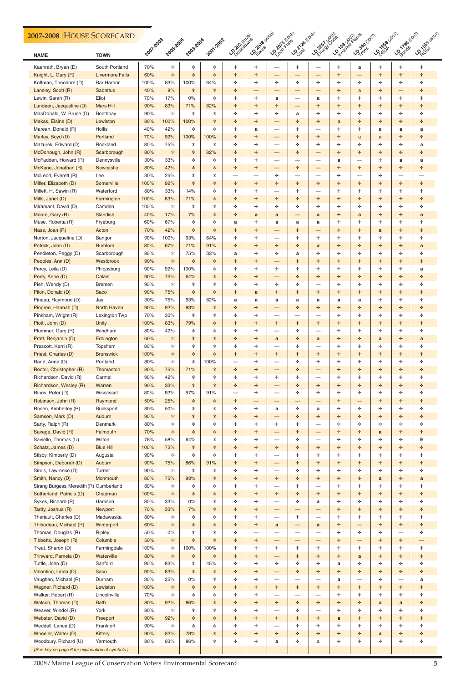| 2007-2008 HOUSE SCORECARD                       |                                          |             |            |           |           |                      |                    |                          |                                |                                       |                       |                                |              |                   |                   |
|-------------------------------------------------|------------------------------------------|-------------|------------|-----------|-----------|----------------------|--------------------|--------------------------|--------------------------------|---------------------------------------|-----------------------|--------------------------------|--------------|-------------------|-------------------|
| <b>NAME</b>                                     | <b>TOWN</b>                              | 2007.2008   | 2005-2006  | 2003-2004 | 2001-2002 | <b>LOOMING WORDS</b> | <b>LOZONS</b> COOS | LO 2019/2029             | <b>LOCATE</b> (2019)           | LOONSI Coose                          | <b>Donatal Branch</b> | <b>LO<sub>380 (2011)</sub></b> | Joseph Rapid |                   | <b>Loughernon</b> |
| Kaenrath, Bryan (D)<br>Knight, L. Gary (R)      | South Portland<br><b>Livermore Falls</b> | 70%<br>60%  | *<br>*     | ☆<br>*    | ∗<br>*    | ÷<br>÷               | ÷<br>÷             | $\qquad \qquad -$        | ÷.<br>$\overline{\phantom{0}}$ |                                       | ÷<br>÷                | a<br>$\qquad \qquad -$         | ÷.<br>÷      | ÷<br>÷.           | ÷.<br>÷           |
| Koffman, Theodore (D)                           | <b>Bar Harbor</b>                        | 100%        | 83%        | 100%      | 64%       | ÷                    | ÷                  | ÷.                       | ÷.                             | ÷.                                    | ÷                     | ÷.                             | ÷.           | ÷.                | ÷                 |
| Lansley, Scott (R)                              | <b>Sabattus</b>                          | 40%         | 8%         | $*$       | ∗         | ÷                    | —                  | –                        |                                |                                       | ÷                     | a                              | ÷            |                   | ÷                 |
| Lewin, Sarah (R)                                | Eliot                                    | 70%         | 17%        | 0%        | *         | ÷                    | ÷.                 | a                        |                                | a                                     | ÷                     | ÷.                             | ÷.           | ÷.                | ÷.                |
| Lundeen, Jacqueline (D)                         | <b>Mars Hill</b>                         | 90%         | 83%        | 71%       | 82%       | ÷                    | ÷                  | ÷                        | $\overline{\phantom{0}}$       | ÷.                                    | ÷                     | ÷                              | ÷.           | ÷.                | ÷                 |
| MacDonald, W. Bruce (D)                         | Boothbay                                 | 90%         | ∗          | ∗         | ∗         | ÷                    | ÷                  | ÷                        | a                              | ÷.                                    | ÷                     | ÷                              | ÷.           | ÷.                | ÷                 |
| Makas, Elaine (D)                               | Lewiston                                 | 80%         | 100%       | 100%      | *.        | ÷                    | ÷                  | —                        | ÷.                             | ÷.                                    | a                     | ÷.                             | ÷.           | ÷.                | ÷                 |
| Marean, Donald (R)                              | Hollis<br>Portland                       | 40%<br>70%  | 42%<br>92% | *<br>100% | *<br>100% | ÷<br>÷               | a<br>÷             |                          | ÷.<br>÷.                       | ÷                                     | ÷<br>÷                | ÷.                             | a            | a<br>÷.           | a<br>÷.           |
| Marley, Boyd (D)<br>Mazurek, Edward (D)         | Rockland                                 | 80%         | 75%        | *         | ∗         | ÷                    | ÷                  | —<br>—                   | ÷.                             | ÷                                     | ÷                     | a<br>÷                         | a<br>÷.      | ÷.                | a                 |
| McDonough, John (R)                             | Scarborough                              | 80%         | *          | *         | 82%       | ÷                    | ÷                  | —                        | ÷.                             | —                                     | ÷                     | ÷                              | ÷            | ÷.                | ÷                 |
| McFadden, Howard (R)                            | Dennysville                              | 30%         | 33%        | *         | ∗         | ÷                    | ÷                  |                          |                                |                                       | a                     | —                              | ÷.           | a                 | a                 |
| McKane, Jonathan (R)                            | Newcastle                                | 80%         | 42%        | *         | *         | ÷                    | ÷.                 | $\qquad \qquad -$        | ÷.                             | $\overbrace{\phantom{13333}}$         | ÷                     | ÷                              | ÷.           | ÷.                | ÷                 |
| McLeod, Everett (R)                             | Lee                                      | 30%         | 25%        | *         | *         | —                    | —                  | ÷.                       | —<br>——                        |                                       | ÷                     | —                              | ÷.           |                   |                   |
| Miller, Elizabeth (D)                           | Somerville                               | 100%        | 92%        | *         | *         | ÷                    | ÷                  | ÷                        | ÷.                             | ÷                                     | ÷                     | ÷                              | ÷            | ÷.                | ÷                 |
| Millett, H. Sawin (R)                           | Waterford                                | 80%         | 33%        | 14%       | *         | ÷                    | ÷                  | —                        | ÷.                             |                                       | ÷                     | ÷                              | ÷.           | ÷                 | ÷                 |
| Mills, Janet (D)                                | Farmington                               | 100%        | 83%        | 71%       | *         | ÷                    | ÷                  | ÷                        | ÷.                             | ÷                                     | ÷                     | ÷                              | ÷.           | ÷.                | ÷                 |
| Miramant, David (D)                             | Camden                                   | 100%        | ∗          | ∗         | *         | ÷                    | ÷                  | ÷                        | ÷.                             | ÷                                     | ÷                     | ÷                              | ÷.           | ÷.                | ÷.                |
| Moore, Gary (R)                                 | <b>Standish</b>                          | 40%         | 17%        | 7%        | *         | ÷                    | a                  | a                        | $\overline{\phantom{0}}$       | a                                     | ÷                     | a                              | ÷            | ÷.                | a                 |
| Muse, Roberta (R)                               | Fryeburg                                 | 60%<br>70%  | 67%<br>42% | *<br>*    | *<br>*.   | a                    | ÷                  | a                        | a<br>÷.                        | a                                     | ÷<br>÷                | ÷.                             | ÷.           | ÷.                | ÷                 |
| Nass, Joan (R)<br>Norton, Jacqueline (D)        | Acton<br>Bangor                          | 90%         | 100%       | 93%       | 64%       | ÷<br>÷               | ÷<br>÷             | —<br>—                   | ÷.                             | ÷.                                    | ÷                     | ÷.<br>÷                        | a<br>÷.      | ÷.<br>÷.          | ÷<br>÷            |
| Patrick, John (D)                               | Rumford                                  | 80%         | 67%        | 71%       | 91%       | ÷                    | ÷                  | ÷                        | ÷.                             | a                                     | ÷                     | ÷                              | ÷.           | ÷.                | a                 |
| Pendleton, Peggy (D)                            | Scarborough                              | 80%         | ∗          | 75%       | 33%       | a                    | ÷                  | ÷.                       | a                              | ÷.                                    | ÷                     | ÷.                             | ÷.           | ÷.                | ÷                 |
| Peoples, Ann (D)                                | Westbrook                                | 90%         | $\ast$     | *         | ∗         | ÷                    | ÷                  | $\qquad \qquad -$        | ÷.                             | ÷                                     | ÷                     | ÷                              | ÷.           | ÷.                | ÷                 |
| Percy, Leila (D)                                | Phippsburg                               | 90%         | 92%        | 100%      | *         | ÷                    | ÷                  | ÷.                       | ÷.                             | ÷                                     | ÷                     | ÷                              | ÷.           | ÷.                | a                 |
| Perry, Anne (D)                                 | Calais                                   | 90%         | 75%        | 64%       | *         | ÷                    | ÷                  | –                        | ÷.                             | ÷.                                    | ÷                     | ÷                              | ÷            | ÷.                | ÷                 |
| Pieh, Wendy (D)                                 | <b>Bremen</b>                            | 90%         | *.         | *         | *         | ÷                    | ÷                  | ÷.                       | ÷.                             |                                       | ÷                     | ÷.                             | ÷.           | ÷.                | ÷                 |
| Pilon, Donald (D)                               | Saco                                     | 90%         | 75%        | ∗         | *         | ÷                    | a                  | ÷                        | ÷                              | ÷                                     | ÷                     | ÷                              | ÷            | ÷                 | ÷                 |
| Pineau, Raymond (D)                             | Jay                                      | 30%         | 75%        | 93%       | 82%       | a                    | a                  | a                        | a                              | a                                     | a                     | a                              | ÷            | ÷                 | ÷                 |
| Pingree, Hannah (D)                             | <b>North Haven</b>                       | 90%         | 92%        | 93%       | ∗         | ÷                    | ÷                  | $\overline{\phantom{0}}$ | ÷.                             | ÷                                     | ÷                     | ÷                              | ÷            | ÷.                | ÷                 |
| Pinkham, Wright (R)                             | Lexington Twp                            | 70%         | 33%        | ∗         | *         | ÷                    | ÷                  |                          | —                              |                                       | ÷                     | ÷                              | ÷.           | ÷.                | ÷.                |
| Piotti, John (D)                                | Unity                                    | 100%        | 83%        | 79%       | *         | ÷                    | ÷                  | ÷                        | ÷.                             | ÷.                                    | ÷                     | ÷                              | ÷.           | ÷.                | ÷                 |
| Plummer, Gary (R)                               | Windham                                  | 80%         | 42%        | *         | *         | ÷                    | ÷                  | —                        | ÷.                             |                                       | ÷                     | ÷                              | ÷.           | ÷.                | ÷                 |
| Pratt, Benjamin (D)                             | Eddington                                | 60%<br>80%  | ∗          | *<br>*    | ∗<br>*    | ÷                    | ÷<br>÷             | a                        | ÷.                             | a                                     | ÷<br>÷                | ÷<br>÷                         | a            | ÷.                | a<br>÷            |
| Prescott, Kerri (R)<br>Priest, Charles (D)      | Topsham<br><b>Brunswick</b>              | 100%        | ☆<br>$*$   | *         | *         | ÷<br>÷               | ÷                  | —<br>÷                   | ÷.<br>÷.                       | ÷                                     | ÷                     | ÷                              | ÷.<br>÷.     | ÷<br>÷.           | ÷                 |
| Rand, Anne (D)                                  | Portland                                 | 80%         | ☆          | ☆         | 100%      | —                    | ÷                  | —                        | ÷.                             | ÷                                     | ÷                     | ÷                              | ÷.           | ÷                 | ÷                 |
| Rector, Christopher (R)                         | Thomaston                                | 80%         | 75%        | 71%       | ∗         | ÷                    | ÷                  | —                        | ÷.                             |                                       | ÷                     | ÷                              | ÷            | ÷.                | ÷                 |
| Richardson, David (R)                           | Carmel                                   | 90%         | 42%        | ∗         | *         | ÷                    | ÷                  | ÷                        | ÷.                             |                                       | ÷                     | ÷                              | ÷.           | ÷                 | ÷                 |
| Richardson, Wesley (R)                          | Warren                                   | 90%         | 33%        | *         | *.        | ÷                    | ÷                  | —                        | ÷.                             | ÷.                                    | ÷                     | ÷                              | ÷.           | ÷.                | ÷                 |
| Rines, Peter (D)                                | Wiscasset                                | 80%         | 92%        | 57%       | 91%       | —                    | ÷                  |                          | ÷.                             | ÷                                     | ÷                     | ÷                              | ÷.           | ÷.                | ÷                 |
| Robinson, John (R)                              | Raymond                                  | 50%         | 25%        | ∗         | ∗         | ÷                    | –                  | —                        | —                              | —                                     | ÷                     |                                | ÷.           | ÷.                | ÷                 |
| Rosen, Kimberley (R)                            | <b>Bucksport</b>                         | 80%         | 50%        | *         | *         | ÷                    | ÷                  | a                        | ÷.                             | a                                     | ÷                     | ÷.                             | ÷.           | ÷                 | ÷                 |
| Samson, Mark (D)                                | Auburn                                   | 90%         | ∗          | *         | *         | ÷                    | ÷                  | $\qquad \qquad -$        | ÷.                             | ÷.                                    | ÷                     | ÷                              | ÷.           | ÷.                | ÷                 |
| Sarty, Ralph (R)                                | Denmark                                  | 80%         | ☆          | ☆         | ☆         | ÷                    | ÷                  | ÷.                       | ÷.                             |                                       | ∗                     | ∗                              | ∗            | ∗                 | ∗                 |
| Savage, David (R)                               | Falmouth                                 | 70%         | $\ast$     | *         | ∗         | ÷                    | ÷                  | $\overline{\phantom{0}}$ | ÷.                             | —                                     | ÷                     | ÷                              | a            | ÷.                | ÷                 |
| Saviello, Thomas (U)                            | Wilton                                   | 78%         | 58%        | 64%       | *         | ÷                    | ÷                  | —                        | ÷.                             |                                       | ÷                     | ÷                              | ÷.           | ÷.                | Е                 |
| Schatz, James (D)<br>Silsby, Kimberly (D)       | <b>Blue Hill</b>                         | 100%<br>90% | 75%<br>∗   | ∗<br>∗    | ∗<br>∗    | ÷<br>÷               | ÷<br>÷             | ÷<br>—                   | ÷.<br>÷.                       | ÷.<br>÷                               | ÷<br>÷                | ÷<br>÷                         | ÷.<br>÷.     | ÷.<br>÷.          | ÷<br>÷            |
| Simpson, Deborah (D)                            | Augusta<br>Auburn                        | 90%         | 75%        | 86%       | 91%       | ÷                    | ÷                  | —                        | ÷.                             | ÷.                                    | ÷                     | ÷                              | ÷            | ÷.                | ÷                 |
| Sirois, Lawrence (D)                            | Turner                                   | 90%         | ☆          | ∗         | ∗         | ÷                    | ÷                  | —                        | ÷.                             | ÷                                     | ÷                     | ÷                              | ÷.           | ÷                 | ÷                 |
| Smith, Nancy (D)                                | Monmouth                                 | 80%         | 75%        | 93%       | ∗         | ÷                    | ÷                  | ÷                        | ÷.                             | ÷.                                    | ÷                     | ÷                              | a            | ÷.                | a                 |
| Strang Burgess, Meredith (R) Cumberland         |                                          | 80%         | ∗          | ☆         | *         | ÷                    | ÷                  |                          | ÷.                             |                                       | ÷                     | ÷                              | ÷.           | ÷.                | ÷.                |
| Sutherland, Patricia (D)                        | Chapman                                  | 100%        | $\ast$     | $\ast$    | ∗         | ÷                    | ÷                  | ÷                        | ÷.                             | ÷.                                    | ÷                     | ÷                              | ÷            | ÷.                | ÷                 |
| Sykes, Richard (R)                              | Harrison                                 | 80%         | 33%        | $0\%$     | *         | ÷                    | ÷                  |                          | ÷.                             | a                                     | ÷                     | ÷.                             | ÷.           | ÷                 | ÷                 |
| Tardy, Joshua (R)                               | <b>Newport</b>                           | 70%         | 33%        | 7%        | ∗         | ÷                    | ÷                  | $\qquad \qquad -$        | $\overline{\phantom{0}}$       | $\overbrace{\phantom{13333}}$         | ÷                     | ÷                              | ÷.           | ÷.                | ÷                 |
| Theriault, Charles (D)                          | Madawaska                                | 80%         | ☆          | *         | *         | ÷                    | ÷                  |                          | ÷.                             | $\overline{\phantom{0}}$              | ÷                     | ÷                              | ÷.           | ÷.                | ÷                 |
| Thibodeau, Michael (R)                          | Winterport                               | 60%         | $\ast$     | *         | ∗         | ÷                    | ÷                  | $\mathbf{a}$             | --                             | a                                     | ÷                     |                                | ÷            | ÷.                | ÷                 |
| Thomas, Douglas (R)                             | Ripley                                   | 50%         | $0\%$      | ☆         | *         | ÷                    | —                  |                          |                                |                                       | ÷                     | ÷                              | ÷.           |                   | ÷                 |
| Tibbetts, Joseph (R)                            | Columbia                                 | 50%         | ∗          | *         | *.        | ÷<br>ᆚ               | ÷<br>ᆚ             | ᆠ                        | $\overline{\phantom{0}}$<br>÷  | $\overbrace{\phantom{13333}}$<br>سالہ | ÷<br>J.               | ᆚ                              | ÷<br>J.      | ÷.<br>ᆚ           | ÷                 |
| Treat, Sharon (D)                               | Farmingdale                              | 100%        | ∗          | 100%      | 100%      |                      |                    |                          |                                |                                       |                       |                                |              |                   |                   |
| Trinward, Pamela (D)<br>Tuttle, John (D)        | Waterville<br>Sanford                    | 80%<br>90%  | ∗<br>83%   | ∗<br>☆    | ∗<br>45%  | ÷<br>÷               | ÷<br>÷             | —<br>÷                   | ÷.<br>÷.                       | ÷.<br>÷                               | ÷<br>a                | a<br>÷                         | ÷.<br>÷.     | ÷.<br>÷           | ÷<br>÷.           |
| Valentino, Linda (D)                            | Saco                                     | 90%         | 83%        | ∗         | ∗         | ÷                    | ÷                  | $\qquad \qquad -$        | ÷.                             | ÷.                                    | ÷                     | ÷                              | ÷.           | ÷.                | ÷                 |
| Vaughan, Michael (R)                            | Durham                                   | 30%         | 25%        | $0\%$     | ∗         | ÷                    | ÷                  | $\overline{\phantom{0}}$ | -                              | $\overbrace{\phantom{13333}}$         | a                     | $\overbrace{\phantom{123331}}$ | ÷.           | $\qquad \qquad -$ | a                 |
| Wagner, Richard (D)                             | Lewiston                                 | 100%        | $*$        | $\ast$    | ∗         | ÷                    | ÷                  | ÷                        | ÷.                             | ÷.                                    | ÷                     | ÷                              | ÷.           | ÷.                | ÷                 |
| Walker, Robert (R)                              | Lincolnville                             | 70%         | $\ast$     | ☆         | ☆         | ÷                    | ÷                  | —                        | --                             | —                                     | ÷                     | ÷                              | ÷.           | ÷.                | ÷.                |
| Watson, Thomas (D)                              | <b>Bath</b>                              | 80%         | 92%        | 86%       | ∗         | ÷                    | ÷.                 | ÷.                       | ÷.                             | ÷.                                    | ÷                     | ÷.                             | a            | $\mathbf a$       | ÷.                |
| Weaver, Windol (R)                              | York                                     | 80%         | ∗          | *         | ∗         | ÷                    | ÷                  | —                        | ÷.                             | $\overline{\phantom{0}}$              | ÷                     | ÷                              | ÷.           | ÷.                | ÷                 |
| Webster, David (D)                              | Freeport                                 | 90%         | 92%        | ∗         | ∗         | ÷                    | ÷                  | ÷                        | ÷.                             | ÷.                                    | a                     | ÷                              | ÷.           | ÷.                | ÷.                |
| Weddell, Lance (D)                              | Frankfort                                | 90%         | ∗          | ☆         | ☆         | ÷                    | ÷                  | —                        | ÷.                             | ÷                                     | ÷                     | ÷                              | ÷.           | ÷                 | ÷                 |
| Wheeler, Walter (D)                             | <b>Kittery</b>                           | 90%         | 83%        | 79%       | ∗         | ÷                    | ÷                  | ÷                        | ÷.                             | ÷                                     | ÷                     | ÷                              | $\mathbf{a}$ | ÷.                | ÷.                |
| Woodbury, Richard (U)                           | Yarmouth                                 | 80%         | 83%        | 86%       | ∗         | ÷                    | ÷                  | a                        | ÷.                             | a                                     | ÷                     | ÷                              | ÷.           | ÷.                | ÷                 |
| (See key on page 6 for explanation of symbols.) |                                          |             |            |           |           |                      |                    |                          |                                |                                       |                       |                                |              |                   |                   |

### **2007-2008** HOUSE SCORECARD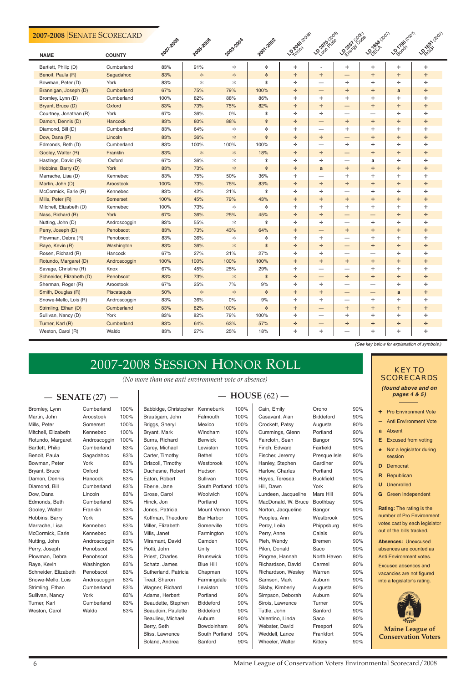*(No more than one anti environment vote or absence)*

| Bromley, Lynn        | Cumberland   | 100% | Babbidge, Christopher | Kennebunk           | 100% | Cain, Emily         | Orono            | 90% |
|----------------------|--------------|------|-----------------------|---------------------|------|---------------------|------------------|-----|
| Martin, John         | Aroostook    | 100% | Brautigam, John       | Falmouth            | 100% | Casavant, Alan      | <b>Biddeford</b> | 90% |
| Mills, Peter         | Somerset     | 100% | Briggs, Sheryl        | Mexico              | 100% | Crockett, Patsy     | Augusta          | 90% |
| Mitchell, Elizabeth  | Kennebec     | 100% | Bryant, Mark          | Windham             | 100% | Cummings, Glenn     | Portland         | 90% |
| Rotundo, Margaret    | Androscoggin | 100% | Burns, Richard        | <b>Berwick</b>      | 100% | Faircloth, Sean     | Bangor           | 90% |
| Bartlett, Philip     | Cumberland   | 83%  | Carey, Michael        | Lewiston            | 100% | Finch, Edward       | Fairfield        | 90% |
| Benoit, Paula        | Sagadahoc    | 83%  | Carter, Timothy       | <b>Bethel</b>       | 100% | Fischer, Jeremy     | Presque Isle     | 90% |
| Bowman, Peter        | York         | 83%  | Driscoll, Timothy     | Westbrook           | 100% | Hanley, Stephen     | Gardiner         | 90% |
| Bryant, Bruce        | Oxford       | 83%  | Duchesne, Robert      | Hudson              | 100% | Harlow, Charles     | Portland         | 90% |
| Damon, Dennis        | Hancock      | 83%  | Eaton, Robert         | Sullivan            | 100% | Hayes, Teresea      | <b>Buckfield</b> | 90% |
| Diamond, Bill        | Cumberland   | 83%  | Eberle, Jane          | South Portland 100% |      | Hill, Dawn          | York             | 90% |
| Dow, Dana            | Lincoln      | 83%  | Grose, Carol          | Woolwich            | 100% | Lundeen, Jacqueline | Mars Hill        | 90% |
| Edmonds, Beth        | Cumberland   | 83%  | Hinck, Jon            | Portland            | 100% | MacDonald, W. Bruce | Boothbay         | 90% |
| Gooley, Walter       | Franklin     | 83%  | Jones, Patricia       | Mount Vernon        | 100% | Norton, Jacqueline  | Bangor           | 90% |
| Hobbins, Barry       | York         | 83%  | Koffman, Theodore     | <b>Bar Harbor</b>   | 100% | Peoples, Ann        | Westbrook        | 90% |
| Marrache, Lisa       | Kennebec     | 83%  | Miller, Elizabeth     | Somerville          | 100% | Percy, Leila        | Phippsburg       | 90% |
| McCormick, Earle     | Kennebec     | 83%  | Mills, Janet          | Farmington          | 100% | Perry, Anne         | Calais           | 90% |
| Nutting, John        | Androscoggin | 83%  | Miramant, David       | Camden              | 100% | Pieh, Wendy         | <b>Bremen</b>    | 90% |
| Perry, Joseph        | Penobscot    | 83%  | Piotti, John          | Unity               | 100% | Pilon, Donald       | Saco             | 90% |
| Plowman, Debra       | Penobscot    | 83%  | Priest, Charles       | <b>Brunswick</b>    | 100% | Pingree, Hannah     | North Haven      | 90% |
| Raye, Kevin          | Washington   | 83%  | Schatz, James         | <b>Blue Hill</b>    | 100% | Richardson, David   | Carmel           | 90% |
| Schneider, Elizabeth | Penobscot    | 83%  | Sutherland, Patricia  | Chapman             | 100% | Richardson, Wesley  | Warren           | 90% |
| Snowe-Mello, Lois    | Androscoggin | 83%  | Treat, Sharon         | Farmingdale         | 100% | Samson, Mark        | Auburn           | 90% |
| Strimling, Ethan     | Cumberland   | 83%  | Wagner, Richard       | Lewiston            | 100% | Silsby, Kimberly    | Augusta          | 90% |
| Sullivan, Nancy      | York         | 83%  | Adams, Herbert        | Portland            | 90%  | Simpson, Deborah    | Auburn           | 90% |
| Turner, Karl         | Cumberland   | 83%  | Beaudette, Stephen    | <b>Biddeford</b>    | 90%  | Sirois, Lawrence    | Turner           | 90% |
| Weston, Carol        | Waldo        | 83%  | Beaudoin, Paulette    | <b>Biddeford</b>    | 90%  | Tuttle, John        | Sanford          | 90% |
|                      |              |      | Beaulieu, Michael     | Auburn              | 90%  | Valentino, Linda    | Saco             | 90% |
|                      |              |      | Berry, Seth           | Bowdoinham          | 90%  | Webster, David      | Freeport         | 90% |
|                      |              |      | Bliss, Lawrence       | South Portland      | 90%  | Weddell, Lance      | Frankfort        | 90% |
|                      |              |      | Boland, Andrea        | Sanford             | 90%  | Wheeler, Walter     | Kittery          | 90% |
|                      |              |      |                       |                     |      |                     |                  |     |

| Bromley, Lynn        | Cumberland   | 100% | Babbidge, Christopher | Kennebunk           | 100%   | Cain, Emily         | Orono            | 90%          |
|----------------------|--------------|------|-----------------------|---------------------|--------|---------------------|------------------|--------------|
| Martin, John         | Aroostook    | 100% | Brautigam, John       | Falmouth            | 100%   | Casavant, Alan      | <b>Biddeford</b> | 90%          |
| Mills, Peter         | Somerset     | 100% | Briggs, Sheryl        | Mexico              | 100%   | Crockett, Patsy     | Augusta          | 90%          |
| Mitchell, Elizabeth  | Kennebec     | 100% | Bryant, Mark          | Windham             | 100%   | Cummings, Glenn     | Portland         | 90%          |
| Rotundo, Margaret    | Androscoggin | 100% | Burns, Richard        | <b>Berwick</b>      | 100%   | Faircloth, Sean     | Bangor           | 90%          |
| Bartlett, Philip     | Cumberland   | 83%  | Carey, Michael        | Lewiston            | 100%   | Finch, Edward       | Fairfield        | 90%          |
| Benoit, Paula        | Sagadahoc    | 83%  | Carter, Timothy       | <b>Bethel</b>       | 100%   | Fischer, Jeremy     | Presque Isle     | 90%          |
| Bowman, Peter        | York         | 83%  | Driscoll, Timothy     | Westbrook           | 100%   | Hanley, Stephen     | Gardiner         | 90%          |
| Bryant, Bruce        | Oxford       | 83%  | Duchesne, Robert      | Hudson              | 100%   | Harlow, Charles     | Portland         | 90%          |
| Damon, Dennis        | Hancock      | 83%  | Eaton, Robert         | Sullivan            | 100%   | Hayes, Teresea      | <b>Buckfield</b> | 90%          |
| Diamond, Bill        | Cumberland   | 83%  | Eberle, Jane          | South Portland 100% |        | Hill, Dawn          | York             | 90%          |
| Dow, Dana            | Lincoln      | 83%  | Grose, Carol          | Woolwich            | 100%   | Lundeen, Jacqueline | Mars Hill        | 90%          |
| Edmonds, Beth        | Cumberland   | 83%  | Hinck, Jon            | Portland            | 100%   | MacDonald, W. Bruce | Boothbay         | 90%          |
| Gooley, Walter       | Franklin     | 83%  | Jones, Patricia       | Mount Vernon        | 100%   | Norton, Jacqueline  | Bangor           | 90%          |
| Hobbins, Barry       | York         | 83%  | Koffman, Theodore     | <b>Bar Harbor</b>   | 100%   | Peoples, Ann        | Westbrook        | 90%          |
| Marrache, Lisa       | Kennebec     | 83%  | Miller, Elizabeth     | Somerville          | 100%   | Percy, Leila        | Phippsburg       | 90%          |
| McCormick, Earle     | Kennebec     | 83%  | Mills, Janet          | Farmington          | 100%   | Perry, Anne         | Calais           | 90%          |
| Nutting, John        | Androscoggin | 83%  | Miramant, David       | Camden              | 100%   | Pieh, Wendy         | <b>Bremen</b>    | 90%          |
| Perry, Joseph        | Penobscot    | 83%  | Piotti, John          | Unity               | 100%   | Pilon, Donald       | Saco             | 90%          |
| Plowman, Debra       | Penobscot    | 83%  | Priest, Charles       | <b>Brunswick</b>    | 100%   | Pingree, Hannah     | North Haven      | 90%          |
| Raye, Kevin          | Washington   | 83%  | Schatz, James         | <b>Blue Hill</b>    | 100%   | Richardson, David   | Carmel           | 90%          |
| Schneider, Elizabeth | Penobscot    | 83%  | Sutherland, Patricia  | Chapman             | 100%   | Richardson, Wesley  | Warren           | 90%          |
| Snowe-Mello, Lois    | Androscoggin | 83%  | Treat, Sharon         | Farmingdale         | 100%   | Samson, Mark        | Auburn           | 90%          |
| Strimling, Ethan     | Cumberland   | 83%  | Wagner, Richard       | Lewiston            | 100%   | Silsby, Kimberly    | Augusta          | 90%          |
| Sullivan, Nancy      | York         | 83%  | Adams, Herbert        | Portland            | 90%    | Simpson, Deborah    | Auburn           | 90%          |
| Turner, Karl         | Cumberland   | 83%  | Beaudette, Stephen    | <b>Biddeford</b>    | 90%    | Sirois, Lawrence    | Turner           | 90%          |
| Weston, Carol        | Waldo        | 83%  | Beaudoin, Paulette    | <b>Biddeford</b>    | 90%    | Tuttle, John        | Sanford          | 90%          |
|                      |              |      | Beaulieu, Michael     | Auburn              | 90%    | Valentino, Linda    | Saco             | 90%          |
|                      |              |      | Berry, Seth           | Bowdoinham          | 90%    | Webster, David      | Freeport         | 90%          |
|                      |              |      | Bliss, Lawrence       | South Portland      | 90%    | Weddell, Lance      | Frankfort        | 90%          |
|                      |              |      | Boland Andrea         | Sanford             | $90\%$ | Wheeler Walter      | Kitten           | $Q \cap 9/2$ |

 $\mathbf{I}$ 

| Bromley, Lynn        | Cumberland   | 100% | Babbidge, Christopher | Kennebunk           | 100%   | Cain, Emily         | Orono            | 90%          |
|----------------------|--------------|------|-----------------------|---------------------|--------|---------------------|------------------|--------------|
| Martin, John         | Aroostook    | 100% | Brautigam, John       | Falmouth            | 100%   | Casavant, Alan      | <b>Biddeford</b> | 90%          |
| Mills, Peter         | Somerset     | 100% | Briggs, Sheryl        | Mexico              | 100%   | Crockett, Patsy     | Augusta          | 90%          |
| Mitchell, Elizabeth  | Kennebec     | 100% | Bryant, Mark          | Windham             | 100%   | Cummings, Glenn     | Portland         | 90%          |
| Rotundo, Margaret    | Androscoggin | 100% | Burns, Richard        | <b>Berwick</b>      | 100%   | Faircloth, Sean     | Bangor           | 90%          |
| Bartlett, Philip     | Cumberland   | 83%  | Carey, Michael        | Lewiston            | 100%   | Finch, Edward       | Fairfield        | 90%          |
| Benoit, Paula        | Sagadahoc    | 83%  | Carter, Timothy       | <b>Bethel</b>       | 100%   | Fischer, Jeremy     | Presque Isle     | 90%          |
| Bowman, Peter        | York         | 83%  | Driscoll, Timothy     | Westbrook           | 100%   | Hanley, Stephen     | Gardiner         | 90%          |
| Bryant, Bruce        | Oxford       | 83%  | Duchesne, Robert      | Hudson              | 100%   | Harlow, Charles     | Portland         | 90%          |
| Damon, Dennis        | Hancock      | 83%  | Eaton, Robert         | Sullivan            | 100%   | Hayes, Teresea      | <b>Buckfield</b> | 90%          |
| Diamond, Bill        | Cumberland   | 83%  | Eberle, Jane          | South Portland 100% |        | Hill, Dawn          | York             | 90%          |
| Dow, Dana            | Lincoln      | 83%  | Grose, Carol          | Woolwich            | 100%   | Lundeen, Jacqueline | Mars Hill        | 90%          |
| Edmonds, Beth        | Cumberland   | 83%  | Hinck, Jon            | Portland            | 100%   | MacDonald, W. Bruce | Boothbay         | 90%          |
| Gooley, Walter       | Franklin     | 83%  | Jones, Patricia       | Mount Vernon        | 100%   | Norton, Jacqueline  | Bangor           | 90%          |
| Hobbins, Barry       | York         | 83%  | Koffman, Theodore     | <b>Bar Harbor</b>   | 100%   | Peoples, Ann        | Westbrook        | 90%          |
| Marrache, Lisa       | Kennebec     | 83%  | Miller, Elizabeth     | Somerville          | 100%   | Percy, Leila        | Phippsburg       | 90%          |
| McCormick, Earle     | Kennebec     | 83%  | Mills, Janet          | Farmington          | 100%   | Perry, Anne         | Calais           | 90%          |
| Nutting, John        | Androscoggin | 83%  | Miramant, David       | Camden              | 100%   | Pieh, Wendy         | <b>Bremen</b>    | 90%          |
| Perry, Joseph        | Penobscot    | 83%  | Piotti, John          | Unity               | 100%   | Pilon, Donald       | Saco             | 90%          |
| Plowman, Debra       | Penobscot    | 83%  | Priest, Charles       | <b>Brunswick</b>    | 100%   | Pingree, Hannah     | North Haven      | 90%          |
| Raye, Kevin          | Washington   | 83%  | Schatz, James         | <b>Blue Hill</b>    | 100%   | Richardson, David   | Carmel           | 90%          |
| Schneider, Elizabeth | Penobscot    | 83%  | Sutherland, Patricia  | Chapman             | 100%   | Richardson, Wesley  | Warren           | 90%          |
| Snowe-Mello, Lois    | Androscoggin | 83%  | Treat, Sharon         | Farmingdale         | 100%   | Samson, Mark        | Auburn           | 90%          |
| Strimling, Ethan     | Cumberland   | 83%  | Wagner, Richard       | Lewiston            | 100%   | Silsby, Kimberly    | Augusta          | 90%          |
| Sullivan, Nancy      | York         | 83%  | Adams, Herbert        | Portland            | 90%    | Simpson, Deborah    | Auburn           | 90%          |
| Turner, Karl         | Cumberland   | 83%  | Beaudette, Stephen    | <b>Biddeford</b>    | 90%    | Sirois, Lawrence    | Turner           | 90%          |
| Weston, Carol        | Waldo        | 83%  | Beaudoin, Paulette    | <b>Biddeford</b>    | 90%    | Tuttle, John        | Sanford          | 90%          |
|                      |              |      | Beaulieu, Michael     | Auburn              | 90%    | Valentino, Linda    | Saco             | 90%          |
|                      |              |      | Berry, Seth           | Bowdoinham          | 90%    | Webster, David      | Freeport         | 90%          |
|                      |              |      | Bliss, Lawrence       | South Portland      | 90%    | Weddell, Lance      | Frankfort        | 90%          |
|                      |              |      | <b>Boland Andrea</b>  | Sanford             | $90\%$ | Wheeler Walter      | Kitten           | $Q \cap 9/2$ |

### — **SENATE** (27)— — **HOUSE** (62) —

| Bromley, Lynn        | Cumberland   | 100% | Babbidge, Christopher | Kennebunk           | 100%   | Cain, Emily         | Orono            | 90%          |
|----------------------|--------------|------|-----------------------|---------------------|--------|---------------------|------------------|--------------|
| Martin, John         | Aroostook    | 100% | Brautigam, John       | Falmouth            | 100%   | Casavant, Alan      | <b>Biddeford</b> | 90%          |
| Mills, Peter         | Somerset     | 100% | Briggs, Sheryl        | Mexico              | 100%   | Crockett, Patsy     | Augusta          | 90%          |
| Mitchell, Elizabeth  | Kennebec     | 100% | Bryant, Mark          | Windham             | 100%   | Cummings, Glenn     | Portland         | 90%          |
| Rotundo, Margaret    | Androscoggin | 100% | Burns, Richard        | <b>Berwick</b>      | 100%   | Faircloth, Sean     | Bangor           | 90%          |
| Bartlett, Philip     | Cumberland   | 83%  | Carey, Michael        | Lewiston            | 100%   | Finch, Edward       | Fairfield        | 90%          |
| Benoit, Paula        | Sagadahoc    | 83%  | Carter, Timothy       | <b>Bethel</b>       | 100%   | Fischer, Jeremy     | Presque Isle     | 90%          |
| Bowman, Peter        | York         | 83%  | Driscoll, Timothy     | Westbrook           | 100%   | Hanley, Stephen     | Gardiner         | 90%          |
| Bryant, Bruce        | Oxford       | 83%  | Duchesne, Robert      | Hudson              | 100%   | Harlow, Charles     | Portland         | 90%          |
| Damon, Dennis        | Hancock      | 83%  | Eaton, Robert         | Sullivan            | 100%   | Hayes, Teresea      | <b>Buckfield</b> | 90%          |
| Diamond, Bill        | Cumberland   | 83%  | Eberle, Jane          | South Portland 100% |        | Hill, Dawn          | York             | 90%          |
| Dow, Dana            | Lincoln      | 83%  | Grose, Carol          | Woolwich            | 100%   | Lundeen, Jacqueline | Mars Hill        | 90%          |
| Edmonds, Beth        | Cumberland   | 83%  | Hinck, Jon            | Portland            | 100%   | MacDonald, W. Bruce | Boothbay         | 90%          |
| Gooley, Walter       | Franklin     | 83%  | Jones, Patricia       | <b>Mount Vernon</b> | 100%   | Norton, Jacqueline  | Bangor           | 90%          |
| Hobbins, Barry       | York         | 83%  | Koffman, Theodore     | <b>Bar Harbor</b>   | 100%   | Peoples, Ann        | Westbrook        | 90%          |
| Marrache, Lisa       | Kennebec     | 83%  | Miller, Elizabeth     | Somerville          | 100%   | Percy, Leila        | Phippsburg       | 90%          |
| McCormick, Earle     | Kennebec     | 83%  | Mills, Janet          | Farmington          | 100%   | Perry, Anne         | Calais           | 90%          |
| Nutting, John        | Androscoggin | 83%  | Miramant, David       | Camden              | 100%   | Pieh, Wendy         | <b>Bremen</b>    | 90%          |
| Perry, Joseph        | Penobscot    | 83%  | Piotti, John          | Unity               | 100%   | Pilon, Donald       | Saco             | 90%          |
| Plowman, Debra       | Penobscot    | 83%  | Priest, Charles       | <b>Brunswick</b>    | 100%   | Pingree, Hannah     | North Haven      | 90%          |
| Raye, Kevin          | Washington   | 83%  | Schatz, James         | <b>Blue Hill</b>    | 100%   | Richardson, David   | Carmel           | 90%          |
| Schneider, Elizabeth | Penobscot    | 83%  | Sutherland, Patricia  | Chapman             | 100%   | Richardson, Wesley  | Warren           | 90%          |
| Snowe-Mello, Lois    | Androscoggin | 83%  | Treat, Sharon         | Farmingdale         | 100%   | Samson, Mark        | Auburn           | 90%          |
| Strimling, Ethan     | Cumberland   | 83%  | Wagner, Richard       | Lewiston            | 100%   | Silsby, Kimberly    | Augusta          | 90%          |
| Sullivan, Nancy      | York         | 83%  | Adams, Herbert        | Portland            | 90%    | Simpson, Deborah    | Auburn           | 90%          |
| Turner, Karl         | Cumberland   | 83%  | Beaudette, Stephen    | <b>Biddeford</b>    | 90%    | Sirois, Lawrence    | Turner           | 90%          |
| Weston, Carol        | Waldo        | 83%  | Beaudoin, Paulette    | <b>Biddeford</b>    | 90%    | Tuttle, John        | Sanford          | 90%          |
|                      |              |      | Beaulieu, Michael     | Auburn              | 90%    | Valentino, Linda    | Saco             | 90%          |
|                      |              |      | Berry, Seth           | Bowdoinham          | 90%    | Webster, David      | Freeport         | 90%          |
|                      |              |      | Bliss, Lawrence       | South Portland      | 90%    | Weddell, Lance      | Frankfort        | 90%          |
|                      |              |      | <b>Boland Andrea</b>  | Sanford             | $90\%$ | Wheeler Walter      | Kitten           | $Q \cap 9/2$ |

6

| 2007-2008 SENATE SCORECARD |                |           |           |           |           |                    | <b>LOONSIDE</b>          |                                   |                      |                       | <b>DRABSH (2007)</b> |
|----------------------------|----------------|-----------|-----------|-----------|-----------|--------------------|--------------------------|-----------------------------------|----------------------|-----------------------|----------------------|
| <b>NAME</b>                | <b>COUNTY</b>  | 2007.2008 | 2005-2006 | 2003-2004 | 2001-2002 | <b>LONDRA</b> CODB |                          | Louisi vous                       | <b>LONGER</b> (2011) | <b>LOONTAG</b> (2007) |                      |
| Bartlett, Philip (D)       | Cumberland     | 83%       | 91%       | ∗         | ∗         | ÷.                 |                          | ÷.                                | ÷.                   | ÷.                    | ÷.                   |
| Benoit, Paula (R)          | Sagadahoc      | 83%       | ∗         | $\ast$    | *         | ÷                  | ÷                        | $\hspace{0.1mm}-\hspace{0.1mm}$   | ÷.                   | ÷.                    | ÷.                   |
| Bowman, Peter (D)          | York           | 83%       | ∗         | *.        | ∗         | ÷                  |                          | ÷.                                | ÷.                   | ÷.                    | ÷.                   |
| Brannigan, Joseph (D)      | Cumberland     | 67%       | 75%       | 79%       | 100%      | ÷.                 | $\overline{\phantom{0}}$ | ÷.                                | ÷.                   | a                     | ÷.                   |
| Bromley, Lynn (D)          | Cumberland     | 100%      | 82%       | 88%       | 86%       | ÷.                 | ÷.                       | ÷.                                | ÷.                   | ÷.                    | ÷.                   |
| Bryant, Bruce (D)          | Oxford         | 83%       | 73%       | 75%       | 82%       | ÷.                 | ÷.                       | $\qquad \qquad -$                 | ÷.                   | ÷.                    | ÷.                   |
| Courtney, Jonathan (R)     | York           | 67%       | 36%       | $0\%$     | ∗         | ÷                  | ÷                        | $\overbrace{\phantom{12332}}$     | -                    | ÷.                    | ÷.                   |
| Damon, Dennis (D)          | <b>Hancock</b> | 83%       | 80%       | 88%       | *         | ÷.                 | —                        | ÷.                                | ÷.                   | ÷.                    | ÷                    |
| Diamond, Bill (D)          | Cumberland     | 83%       | 64%       | ∗         | ∗         | ÷.                 | $\hspace{0.05cm}$        | ÷,                                | ÷.                   | ÷.                    | ÷.                   |
| Dow, Dana (R)              | Lincoln        | 83%       | 36%       | *.        | $\ast$    | ÷.                 | ÷.                       | $\qquad \qquad -$                 | ÷.                   | ÷.                    | ÷.                   |
| Edmonds, Beth (D)          | Cumberland     | 83%       | 100%      | 100%      | 100%      | ÷                  |                          | ÷.                                | ÷.                   | ÷.                    | ÷.                   |
| Gooley, Walter (R)         | Franklin       | 83%       | ∗         | *.        | 18%       | ÷.                 | ÷.                       | $\qquad \qquad -$                 | ÷.                   | ÷.                    | ÷.                   |
| Hastings, David (R)        | Oxford         | 67%       | 36%       | ∗         | ∗         | ÷.                 | ÷.                       | $\overbrace{\phantom{12332}}$     | a                    | ÷.                    | ÷.                   |
| Hobbins, Barry (D)         | York           | 83%       | 73%       | *.        | *.        | ÷.                 | a                        | ÷.                                | ÷.                   | ÷.                    | ÷.                   |
| Marrache, Lisa (D)         | Kennebec       | 83%       | 75%       | 50%       | 36%       | ÷                  |                          | ÷.                                | ÷.                   | ÷.                    | ÷.                   |
| Martin, John (D)           | Aroostook      | 100%      | 73%       | 75%       | 83%       | ÷.                 | ÷.                       | ÷.                                | ÷.                   | ÷.                    | ÷.                   |
| McCormick, Earle (R)       | Kennebec       | 83%       | 42%       | 21%       | ∗         | ÷                  | ÷                        |                                   | ÷.                   | ÷.                    | ÷.                   |
| Mills, Peter (R)           | Somerset       | 100%      | 45%       | 79%       | 43%       | ÷.                 | ÷.                       | ÷.                                | ÷.                   | ÷.                    | ÷.                   |
| Mitchell, Elizabeth (D)    | Kennebec       | 100%      | 73%       | ∗         | ∗         | ÷                  | ÷                        | ÷.                                | ÷.                   | ÷.                    | ÷.                   |
| Nass, Richard (R)          | York           | 67%       | 36%       | 25%       | 45%       | ÷.                 | ÷                        | $\qquad \qquad -$                 | —                    | ÷.                    | ÷.                   |
| Nutting, John (D)          | Androscoggin   | 83%       | 55%       | *.        | ∗         | ÷.                 | ÷.                       | $\hspace{0.05cm}$                 | ÷.                   | ÷.                    | ÷.                   |
| Perry, Joseph (D)          | Penobscot      | 83%       | 73%       | 43%       | 64%       | ÷.                 | $\qquad \qquad -$        | ÷.                                | ÷.                   | ÷.                    | ÷.                   |
| Plowman, Debra (R)         | Penobscot      | 83%       | 36%       | ∗         | ∗         | ÷                  | ÷.                       |                                   | ÷.                   | ÷.                    | ÷.                   |
| Raye, Kevin (R)            | Washington     | 83%       | 36%       | *.        | $\ast$    | ÷.                 | ÷.                       | $\hspace{0.1mm}-\hspace{0.1mm}$   | ÷.                   | ÷.                    | ÷.                   |
| Rosen, Richard (R)         | Hancock        | 67%       | 27%       | 21%       | 27%       | ÷                  | ÷.                       | $\overbrace{\phantom{12332}}$     | -                    | ÷.                    | ÷.                   |
| Rotundo, Margaret (D)      | Androscoggin   | 100%      | 100%      | 100%      | 100%      | ÷.                 | ÷                        | ÷.                                | ÷.                   | ÷.                    | ÷.                   |
| Savage, Christine (R)      | Knox           | 67%       | 45%       | 25%       | 29%       | ÷                  |                          |                                   | ÷.                   | ÷.                    | ÷.                   |
| Schneider, Elizabeth (D)   | Penobscot      | 83%       | 73%       | ∗         | *.        | ÷.                 |                          | ÷.                                | ÷.                   | ÷.                    | ÷                    |
| Sherman, Roger (R)         | Aroostook      | 67%       | 25%       | 7%        | 9%        | ÷.                 | ÷.                       |                                   |                      | ÷.                    | Υ.                   |
| Smith, Douglas (R)         | Piscataquis    | 50%       | $\ast$    | ∗         | $*$       | ÷.                 | ÷.                       | $\qquad \qquad -$                 | $\qquad \qquad -$    | $\mathbf{a}$          | ÷.                   |
| Snowe-Mello, Lois (R)      | Androscoggin   | 83%       | 36%       | $0\%$     | $9\%$     | ÷,                 | ÷.                       | $\overbrace{\phantom{123221111}}$ | ⊹,                   | ÷.                    | ÷.                   |
| Strimling, Ethan (D)       | Cumberland     | 83%       | 82%       | 100%      | $*$       | ÷.                 |                          | ÷.                                | ÷.                   | ÷.                    | ÷.                   |
| Sullivan, Nancy (D)        | York           | 83%       | 82%       | 79%       | 100%      | ⊹,                 |                          | ÷.                                | ÷.                   | ÷.                    | ÷.                   |
| Turner, Karl (R)           | Cumberland     | 83%       | 64%       | 63%       | 57%       | ÷.                 | $\overline{\phantom{m}}$ | ÷.                                | ÷.                   | ÷.                    | ÷.                   |
| Weston, Carol (R)          | Waldo          | 83%       | 27%       | 25%       | 18%       | ÷.                 | ⊹,                       | $\overline{\phantom{0}}$          | ⊹,                   | ÷.                    | ÷.                   |

(See key below for explanation of symbols.)

**Rating:** The rating is the number of Pro Environment

votes cast by each legislator out of the bills tracked.

**Absences:** Unexcused absences are counted as Anti Environment votes. Excused absences and vacancies are not figured into a legislator's rating.



- **+** Pro Environment Vote
- **–** Anti Environment Vote
- **a** Absent
- **E** Excused from voting **\*** Not a legislator during session
- **D** Democrat
- **R** Republican
- **U** Unenrolled
- **G** Green Independent

| KFY IO            |  |
|-------------------|--|
| <b>SCORECARDS</b> |  |

**(found above and on pages 4 & 5)**

**Maine League of Conservation Voters**

# 2007-2008 SESSION HONOR ROLL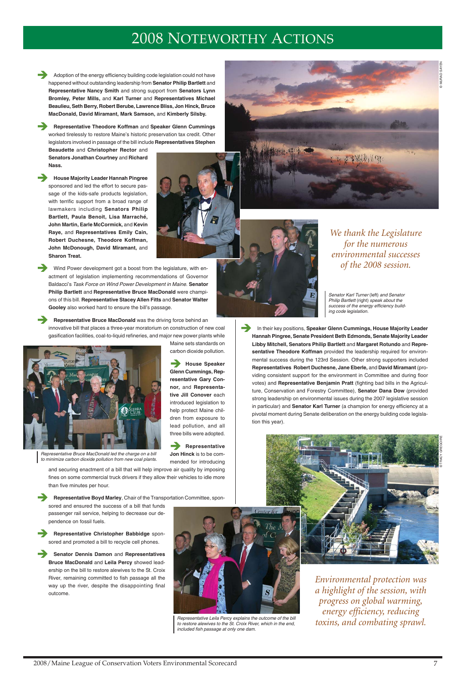## 2008 NOTEWORTHY ACTIONS

Adoption of the energy efficiency building code legislation could not have happened without outstanding leadership from **Senator Philip Bartlett** and **Representative Nancy Smith** and strong support from **Senators Lynn Bromley, Peter Mills,** and **Karl Turner** and **Representatives Michael Beaulieu, Seth Berry, Robert Berube, Lawrence Bliss, Jon Hinck, Bruce MacDonald, David Miramant, Mark Samson,** and **Kimberly Silsby.**

Î **Representative Theodore Koffman** and **Speaker Glenn Cummings** worked tirelessly to restore Maine's historic preservation tax credit. Other legislators involved in passage of the bill include **Representatives Stephen**

**Beaudette** and **Christopher Rector** and **Senators Jonathan Courtney** and **Richard Nass.**

Wind Power development got a boost from the legislature, with enactment of legislation implementing recommendations of Governor Baldacci's Task Force on Wind Power Development in Maine. **Senator Philip Bartlett** and **Representative Bruce MacDonald** were champions of this bill. **Representative Stacey Allen Fitts** and **Senator Walter Gooley** also worked hard to ensure the bill's passage.

**Representative Bruce MacDonald** was the driving force behind an innovative bill that places a three-year moratorium on construction of new coal gasification facilities, coal-to-liquid refineries, and major new power plants while

Î **House Majority Leader Hannah Pingree** sponsored and led the effort to secure passage of the kids-safe products legislation, with terrific support from a broad range of lawmakers including **Senators Philip Bartlett, Paula Benoit, Lisa Marraché, John Martin, Earle McCormick,** and **Kevin Raye,** and **Representatives Emily Cain, Robert Duchesne, Theodore Koffman, John McDonough, David Miramant,** and **Sharon Treat.**

> House Speaker **Glenn Cummings, Representative Gary Connor,** and **Representative Jill Conover** each introduced legislation to help protect Maine children from exposure to lead pollution, and all three bills were adopted.

> **Representative Jon Hinck** is to be commended for introducing









**Senator Dennis Damon** and Representatives **Bruce MacDonald** and **Leila Percy** showed leadership on the bill to restore alewives to the St. Croix River, remaining committed to fish passage all the way up the river, despite the disappointing final outcome.



Maine sets standards on carbon dioxide pollution. **In their key positions, Speaker Glenn Cummings, House Majority Leader Hannah Pingree, Senate President Beth Edmonds, Senate Majority Leader Libby Mitchell, Senators Philip Bartlett** and **Margaret Rotundo** and **Representative Theodore Koffman** provided the leadership required for environmental success during the 123rd Session. Other strong supporters included **Representatives Robert Duchesne, Jane Eberle,** and **David Miramant** (providing consistent support for the environment in Committee and during floor votes) and **Representative Benjamin Pratt** (fighting bad bills in the Agriculture, Conservation and Forestry Committee), **Senator Dana Dow** (provided strong leadership on environmental issues during the 2007 legislative session in particular) and **Senator Karl Turner** (a champion for energy efficiency at a pivotal moment during Senate deliberation on the energy building code legislation this year).

and securing enactment of a bill that will help improve air quality by imposing fines on some commercial truck drivers if they allow their vehicles to idle more than five minutes per hour.

Î **Representative Boyd Marley**, Chair of the Transportation Committee, sponsored and ensured the success of a bill that funds passenger rail service, helping to decrease our de-

pendence on fossil fuels.

Î **Representative Christopher Babbidge** sponsored and promoted a bill to recycle cell phones.

> Representative Leila Percy explains the outcome of the bill to restore alewives to the St. Croix River, which in the end, included fish passage at only one dam.

Senator Karl Turner (left) and Senator Philip Bartlett (right) speak about the success of the energy efficiency building code legislation.

*We thank the Legislature for the numerous environmental successes of the 2008 session.*

*Environmental protection was a highlight of the session, with progress on global warming, energy efficiency, reducing toxins, and combating sprawl.* © TRACY GREGOIRE



Representative Bruce MacDonald led the charge on a bill to minimize carbon dioxide pollution from new coal plants.